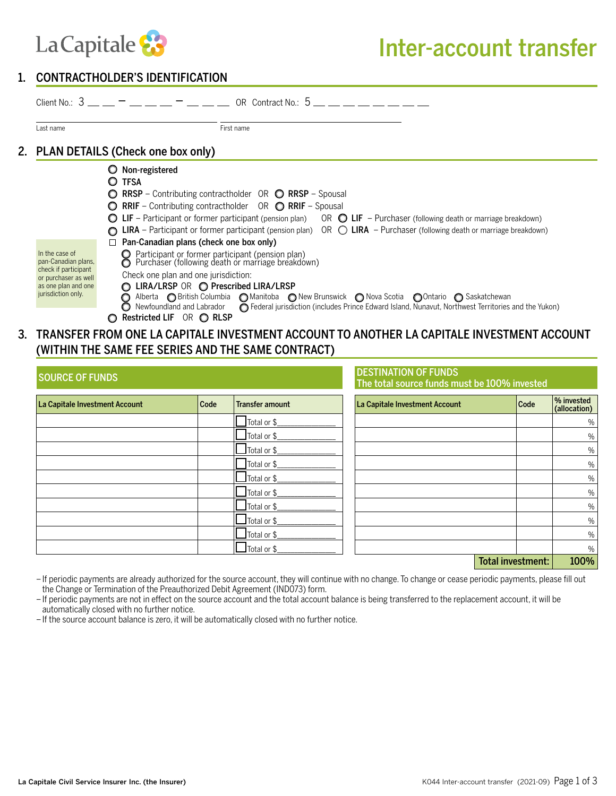

### 1. CONTRACTHOLDER'S IDENTIFICATION

| Last name                                                                                                                          | First name                                                                                                                                                                                                                                                                                                                                                                                                                                                                                           |
|------------------------------------------------------------------------------------------------------------------------------------|------------------------------------------------------------------------------------------------------------------------------------------------------------------------------------------------------------------------------------------------------------------------------------------------------------------------------------------------------------------------------------------------------------------------------------------------------------------------------------------------------|
|                                                                                                                                    | 2. PLAN DETAILS (Check one box only)                                                                                                                                                                                                                                                                                                                                                                                                                                                                 |
|                                                                                                                                    | O Non-registered<br>O TFSA<br>◯ RRSP – Contributing contractholder OR ◯ RRSP – Spousal<br>◯ RRIF - Contributing contractholder OR ◯ RRIF - Spousal<br>$\bigcirc$ LIF – Participant or former participant (pension plan) OR $\bigcirc$ LIF – Purchaser (following death or marriage breakdown)<br><b>LIRA</b> – Participant or former participant (pension plan) OR $\bigcirc$ <b>LIRA</b> – Purchaser (following death or marriage breakdown)                                                        |
| In the case of<br>pan-Canadian plans,<br>check if participant<br>or purchaser as well<br>as one plan and one<br>jurisdiction only. | Pan-Canadian plans (check one box only)<br>Participant or former participant (pension plan)<br>Purchaser (following death or marriage breakdown)<br>Check one plan and one jurisdiction:<br>LIRA/LRSP OR © Prescribed LIRA/LRSP<br>Alberta O British Columbia O Manitoba O New Brunswick O Nova Scotia O Ontario O Saskatchewan<br>Newfoundland and Labrador <b>C</b> Federal jurisdiction (includes Prince Edward Island, Nunavut, Northwest Territories and the Yukon)<br>Restricted LIF OR C RLSP |

### 3. TRANSFER FROM ONE LA CAPITALE INVESTMENT ACCOUNT TO ANOTHER LA CAPITALE INVESTMENT ACCOUNT (WITHIN THE SAME FEE SERIES AND THE SAME CONTRACT)

| <b>SOURCE OF FUNDS</b>         |      |                                      | <b>DESTINATION OF FUNDS</b><br>The total source funds must be 100% invested |                   |                            |
|--------------------------------|------|--------------------------------------|-----------------------------------------------------------------------------|-------------------|----------------------------|
| La Capitale Investment Account | Code | <b>Transfer amount</b>               | La Capitale Investment Account                                              | Code              | % invested<br>(allocation) |
|                                |      | Total or \$                          |                                                                             |                   | $\%$                       |
|                                |      | $\overline{\phantom{a}}$ Total or \$ |                                                                             |                   | $\%$                       |
|                                |      | Total or $\frac{6}{2}$               |                                                                             |                   | $\%$                       |
|                                |      | Total or \$                          |                                                                             |                   | $\%$                       |
|                                |      | Total or $\frac{6}{2}$               |                                                                             |                   | $\%$                       |
|                                |      | Total or \$                          |                                                                             |                   | $\%$                       |
|                                |      | Total or \$                          |                                                                             |                   | $\%$                       |
|                                |      | Total or $\frac{6}{2}$               |                                                                             |                   | $\%$                       |
|                                |      | Total or $\frac{6}{2}$               |                                                                             |                   | %                          |
|                                |      | $\overline{\phantom{a}}$ Total or \$ |                                                                             |                   | $\%$                       |
|                                |      |                                      |                                                                             | Total investment: | 100%                       |

–If periodic payments are already authorized for the source account, they will continue with no change. To change or cease periodic payments, please fill out the Change or Termination of the Preauthorized Debit Agreement (IND073) form.

–If periodic payments are not in effect on the source account and the total account balance is being transferred to the replacement account, it will be automatically closed with no further notice.

–If the source account balance is zero, it will be automatically closed with no further notice.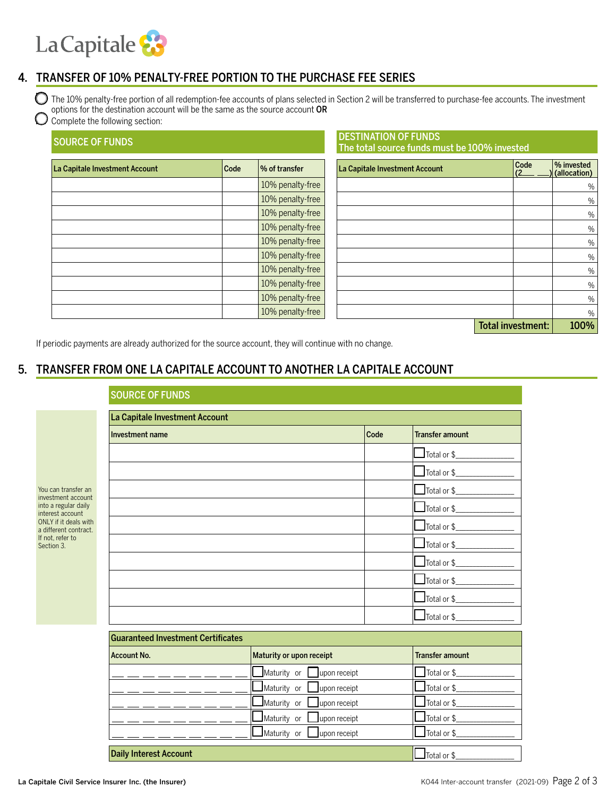# La Capitale &

### 4. TRANSFER OF 10% PENALTY-FREE PORTION TO THE PURCHASE FEE SERIES

 $\bigcirc$  The 10% penalty-free portion of all redemption-fee accounts of plans selected in Section 2 will be transferred to purchase-fee accounts. The investment options for the destination account will be the same as the source account OR

### Complete the following section:

| <b>SOURCE OF FUNDS</b>         |      |                  | <b>DESTINATION OF FUNDS</b><br>The total source funds must be 100% invested |      |                            |
|--------------------------------|------|------------------|-----------------------------------------------------------------------------|------|----------------------------|
| La Capitale Investment Account | Code | % of transfer    | La Capitale Investment Account                                              | Code | % invested<br>(allocation) |
|                                |      | 10% penalty-free |                                                                             |      | $\%$                       |
|                                |      | 10% penalty-free |                                                                             |      | $\%$                       |
|                                |      | 10% penalty-free |                                                                             |      | $\%$                       |
|                                |      | 10% penalty-free |                                                                             |      | $\%$                       |
|                                |      | 10% penalty-free |                                                                             |      | $\%$                       |
|                                |      | 10% penalty-free |                                                                             |      | $\%$                       |
|                                |      | 10% penalty-free |                                                                             |      | $\%$                       |
|                                |      | 10% penalty-free |                                                                             |      | $\%$                       |
|                                |      | 10% penalty-free |                                                                             |      | $\%$                       |
|                                |      | 10% penalty-free |                                                                             |      | $\%$                       |

| Total investment: | 100% |
|-------------------|------|
|-------------------|------|

If periodic payments are already authorized for the source account, they will continue with no change.

## 5. TRANSFER FROM ONE LA CAPITALE ACCOUNT TO ANOTHER LA CAPITALE ACCOUNT

| La Capitale Investment Account            |      |                                    |
|-------------------------------------------|------|------------------------------------|
| Investment name                           | Code | <b>Transfer amount</b>             |
|                                           |      | $\sqrt{\frac{1}{10}}$ Total or \$  |
|                                           |      | Total or $\frac{1}{2}$             |
|                                           |      |                                    |
|                                           |      | $\Box$ Total or \$ $\Box$          |
|                                           |      | $\Box$ Total or \$                 |
|                                           |      | $\frac{1}{\sqrt{10}}$ Total or \$  |
|                                           |      | $\Box$ Total or \$________________ |
|                                           |      | $\Box$ Total or \$ $\Box$          |
|                                           |      | $\Box$ Total or \$ $\Box$          |
|                                           |      | $\Box$ Total or \$ $\Box$          |
| <b>Guaranteed Investment Certificates</b> |      |                                    |

| <b>Guaranteed Investment Certificates</b> |                                        |                                      |  |  |
|-------------------------------------------|----------------------------------------|--------------------------------------|--|--|
| <b>Account No.</b>                        | Maturity or upon receipt               | <b>Transfer amount</b>               |  |  |
|                                           | $\Box$ Maturity or $\Box$ upon receipt | Total or \$                          |  |  |
|                                           | $\Box$ Maturity or $\Box$ upon receipt | $\Box$ Total or \$                   |  |  |
|                                           | $\Box$ Maturity or $\Box$ upon receipt | $\Box$ Total or \$                   |  |  |
|                                           | $\Box$ Maturity or $\Box$ upon receipt | $\blacksquare$ Total or \$           |  |  |
|                                           | $\Box$ Maturity or $\Box$ upon receipt | $\sqrt{\frac{1}{10}}$ Total or \$    |  |  |
| <b>Daily Interest Account</b>             |                                        | $\overline{\phantom{a}}$ Total or \$ |  |  |

You can transfer an investment account into a regular daily interest account ONLY if it deals with a different contract. If not, refer to Section 3.